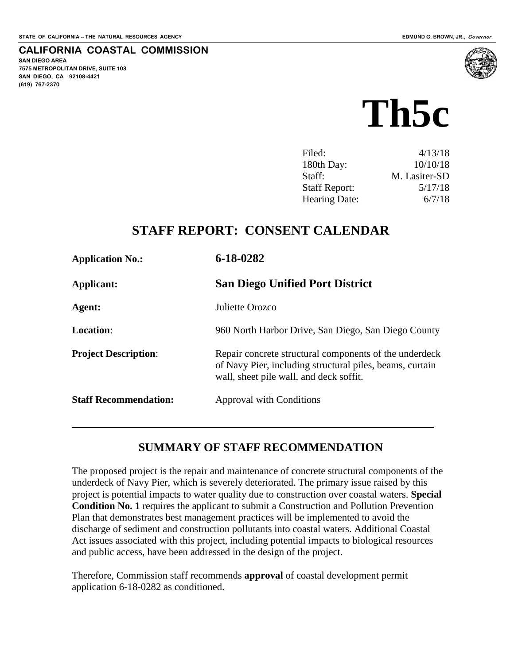#### **CALIFORNIA COASTAL COMMISSION**

**SAN DIEGO AREA 7575 METROPOLITAN DRIVE, SUITE 103 SAN DIEGO, CA 92108-4421 (619) 767-2370**



| Filed:               | 4/13/18       |
|----------------------|---------------|
| 180th Day:           | 10/10/18      |
| Staff:               | M. Lasiter-SD |
| <b>Staff Report:</b> | 5/17/18       |
| Hearing Date:        | 6/7/18        |

## **STAFF REPORT: CONSENT CALENDAR**

| <b>Application No.:</b>      | 6-18-0282                                                                                                                                                     |
|------------------------------|---------------------------------------------------------------------------------------------------------------------------------------------------------------|
| Applicant:                   | <b>San Diego Unified Port District</b>                                                                                                                        |
| Agent:                       | Juliette Orozco                                                                                                                                               |
| <b>Location:</b>             | 960 North Harbor Drive, San Diego, San Diego County                                                                                                           |
| <b>Project Description:</b>  | Repair concrete structural components of the underdeck<br>of Navy Pier, including structural piles, beams, curtain<br>wall, sheet pile wall, and deck soffit. |
| <b>Staff Recommendation:</b> | Approval with Conditions                                                                                                                                      |
|                              |                                                                                                                                                               |

## **SUMMARY OF STAFF RECOMMENDATION**

The proposed project is the repair and maintenance of concrete structural components of the underdeck of Navy Pier, which is severely deteriorated. The primary issue raised by this project is potential impacts to water quality due to construction over coastal waters. **Special Condition No. 1** requires the applicant to submit a Construction and Pollution Prevention Plan that demonstrates best management practices will be implemented to avoid the discharge of sediment and construction pollutants into coastal waters. Additional Coastal Act issues associated with this project, including potential impacts to biological resources and public access, have been addressed in the design of the project.

Therefore, Commission staff recommends **approval** of coastal development permit application 6-18-0282 as conditioned.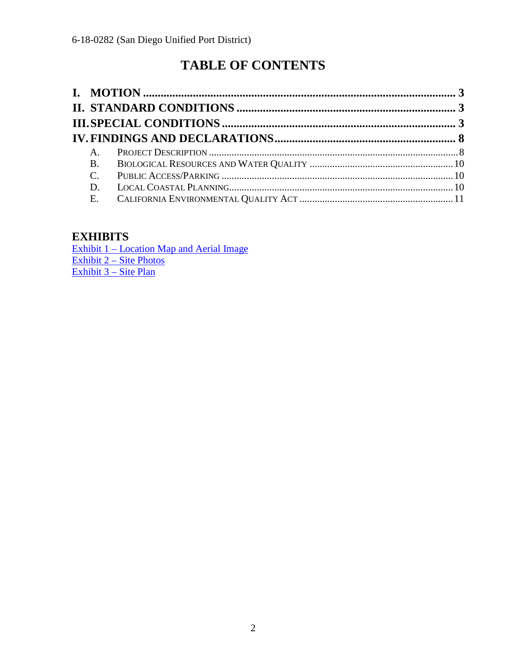# **TABLE OF CONTENTS**

| $A_{1}$     |  |
|-------------|--|
| <b>B.</b>   |  |
| $C_{\cdot}$ |  |
| D.          |  |
| E.          |  |

## **EXHIBITS**

Exhibit 1 – Location Map and Aerial Image [Exhibit 2 – Site Photos](https://documents.coastal.ca.gov/reports/2018/6/Th5c/Th5c-6-2018-exhibits.pdf) [Exhibit 3 – Site Plan](https://documents.coastal.ca.gov/reports/2018/6/Th5c/Th5c-6-2018-exhibits.pdf)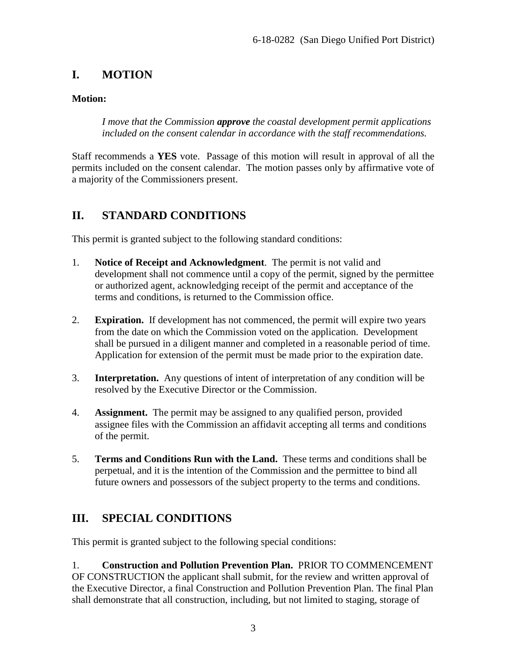## <span id="page-2-0"></span>**I. MOTION**

#### **Motion:**

*I move that the Commission approve the coastal development permit applications included on the consent calendar in accordance with the staff recommendations.* 

Staff recommends a **YES** vote. Passage of this motion will result in approval of all the permits included on the consent calendar. The motion passes only by affirmative vote of a majority of the Commissioners present.

## <span id="page-2-1"></span>**II. STANDARD CONDITIONS**

This permit is granted subject to the following standard conditions:

- 1. **Notice of Receipt and Acknowledgment**. The permit is not valid and development shall not commence until a copy of the permit, signed by the permittee or authorized agent, acknowledging receipt of the permit and acceptance of the terms and conditions, is returned to the Commission office.
- 2. **Expiration.** If development has not commenced, the permit will expire two years from the date on which the Commission voted on the application. Development shall be pursued in a diligent manner and completed in a reasonable period of time. Application for extension of the permit must be made prior to the expiration date.
- 3. **Interpretation.** Any questions of intent of interpretation of any condition will be resolved by the Executive Director or the Commission.
- 4. **Assignment.** The permit may be assigned to any qualified person, provided assignee files with the Commission an affidavit accepting all terms and conditions of the permit.
- 5. **Terms and Conditions Run with the Land.** These terms and conditions shall be perpetual, and it is the intention of the Commission and the permittee to bind all future owners and possessors of the subject property to the terms and conditions.

## <span id="page-2-2"></span>**III. SPECIAL CONDITIONS**

This permit is granted subject to the following special conditions:

1. **Construction and Pollution Prevention Plan.** PRIOR TO COMMENCEMENT OF CONSTRUCTION the applicant shall submit, for the review and written approval of the Executive Director, a final Construction and Pollution Prevention Plan. The final Plan shall demonstrate that all construction, including, but not limited to staging, storage of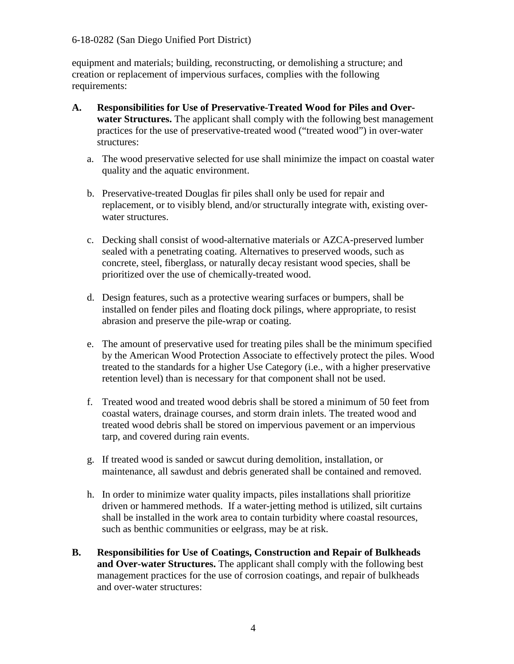#### 6-18-0282 (San Diego Unified Port District)

equipment and materials; building, reconstructing, or demolishing a structure; and creation or replacement of impervious surfaces, complies with the following requirements:

- **A. Responsibilities for Use of Preservative-Treated Wood for Piles and Overwater Structures.** The applicant shall comply with the following best management practices for the use of preservative-treated wood ("treated wood") in over-water structures:
	- a. The wood preservative selected for use shall minimize the impact on coastal water quality and the aquatic environment.
	- b. Preservative-treated Douglas fir piles shall only be used for repair and replacement, or to visibly blend, and/or structurally integrate with, existing overwater structures.
	- c. Decking shall consist of wood-alternative materials or AZCA-preserved lumber sealed with a penetrating coating. Alternatives to preserved woods, such as concrete, steel, fiberglass, or naturally decay resistant wood species, shall be prioritized over the use of chemically-treated wood.
	- d. Design features, such as a protective wearing surfaces or bumpers, shall be installed on fender piles and floating dock pilings, where appropriate, to resist abrasion and preserve the pile-wrap or coating.
	- e. The amount of preservative used for treating piles shall be the minimum specified by the American Wood Protection Associate to effectively protect the piles. Wood treated to the standards for a higher Use Category (i.e., with a higher preservative retention level) than is necessary for that component shall not be used.
	- f. Treated wood and treated wood debris shall be stored a minimum of 50 feet from coastal waters, drainage courses, and storm drain inlets. The treated wood and treated wood debris shall be stored on impervious pavement or an impervious tarp, and covered during rain events.
	- g. If treated wood is sanded or sawcut during demolition, installation, or maintenance, all sawdust and debris generated shall be contained and removed.
	- h. In order to minimize water quality impacts, piles installations shall prioritize driven or hammered methods. If a water-jetting method is utilized, silt curtains shall be installed in the work area to contain turbidity where coastal resources, such as benthic communities or eelgrass, may be at risk.
- **B. Responsibilities for Use of Coatings, Construction and Repair of Bulkheads and Over-water Structures.** The applicant shall comply with the following best management practices for the use of corrosion coatings, and repair of bulkheads and over-water structures: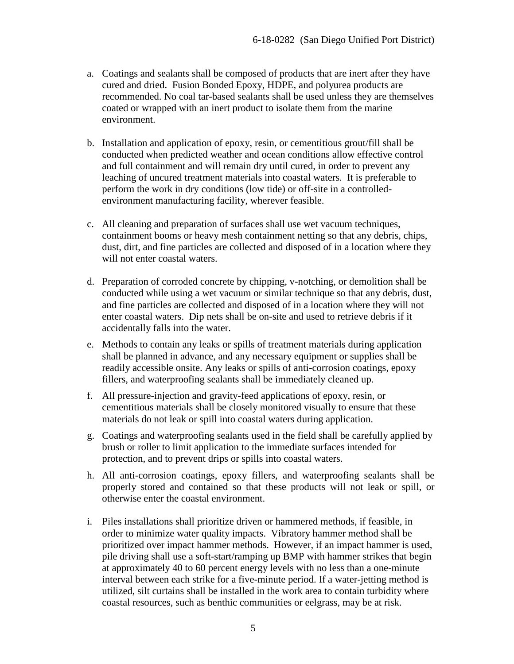- a. Coatings and sealants shall be composed of products that are inert after they have cured and dried. Fusion Bonded Epoxy, HDPE, and polyurea products are recommended. No coal tar-based sealants shall be used unless they are themselves coated or wrapped with an inert product to isolate them from the marine environment.
- b. Installation and application of epoxy, resin, or cementitious grout/fill shall be conducted when predicted weather and ocean conditions allow effective control and full containment and will remain dry until cured, in order to prevent any leaching of uncured treatment materials into coastal waters. It is preferable to perform the work in dry conditions (low tide) or off-site in a controlledenvironment manufacturing facility, wherever feasible.
- c. All cleaning and preparation of surfaces shall use wet vacuum techniques, containment booms or heavy mesh containment netting so that any debris, chips, dust, dirt, and fine particles are collected and disposed of in a location where they will not enter coastal waters.
- d. Preparation of corroded concrete by chipping, v-notching, or demolition shall be conducted while using a wet vacuum or similar technique so that any debris, dust, and fine particles are collected and disposed of in a location where they will not enter coastal waters. Dip nets shall be on-site and used to retrieve debris if it accidentally falls into the water.
- e. Methods to contain any leaks or spills of treatment materials during application shall be planned in advance, and any necessary equipment or supplies shall be readily accessible onsite. Any leaks or spills of anti-corrosion coatings, epoxy fillers, and waterproofing sealants shall be immediately cleaned up.
- f. All pressure-injection and gravity-feed applications of epoxy, resin, or cementitious materials shall be closely monitored visually to ensure that these materials do not leak or spill into coastal waters during application.
- g. Coatings and waterproofing sealants used in the field shall be carefully applied by brush or roller to limit application to the immediate surfaces intended for protection, and to prevent drips or spills into coastal waters.
- h. All anti-corrosion coatings, epoxy fillers, and waterproofing sealants shall be properly stored and contained so that these products will not leak or spill, or otherwise enter the coastal environment.
- i. Piles installations shall prioritize driven or hammered methods, if feasible, in order to minimize water quality impacts. Vibratory hammer method shall be prioritized over impact hammer methods. However, if an impact hammer is used, pile driving shall use a soft-start/ramping up BMP with hammer strikes that begin at approximately 40 to 60 percent energy levels with no less than a one-minute interval between each strike for a five-minute period. If a water-jetting method is utilized, silt curtains shall be installed in the work area to contain turbidity where coastal resources, such as benthic communities or eelgrass, may be at risk.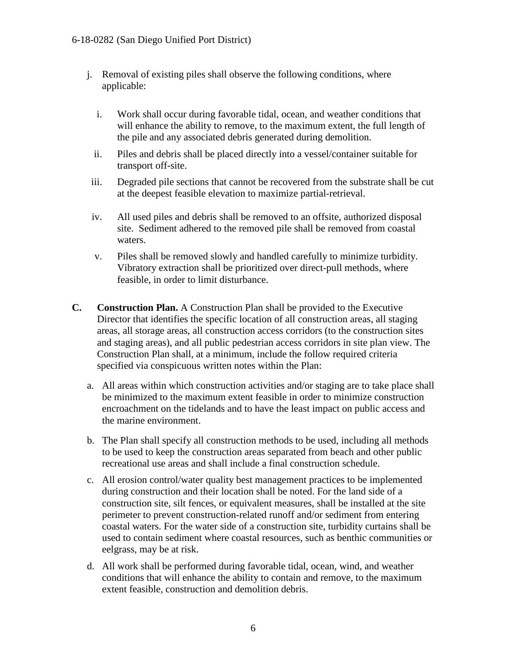#### 6-18-0282 (San Diego Unified Port District)

- j. Removal of existing piles shall observe the following conditions, where applicable:
	- i. Work shall occur during favorable tidal, ocean, and weather conditions that will enhance the ability to remove, to the maximum extent, the full length of the pile and any associated debris generated during demolition.
	- ii. Piles and debris shall be placed directly into a vessel/container suitable for transport off-site.
- iii. Degraded pile sections that cannot be recovered from the substrate shall be cut at the deepest feasible elevation to maximize partial-retrieval.
- iv. All used piles and debris shall be removed to an offsite, authorized disposal site. Sediment adhered to the removed pile shall be removed from coastal waters.
- v. Piles shall be removed slowly and handled carefully to minimize turbidity. Vibratory extraction shall be prioritized over direct-pull methods, where feasible, in order to limit disturbance.
- **C. Construction Plan.** A Construction Plan shall be provided to the Executive Director that identifies the specific location of all construction areas, all staging areas, all storage areas, all construction access corridors (to the construction sites and staging areas), and all public pedestrian access corridors in site plan view. The Construction Plan shall, at a minimum, include the follow required criteria specified via conspicuous written notes within the Plan:
	- a. All areas within which construction activities and/or staging are to take place shall be minimized to the maximum extent feasible in order to minimize construction encroachment on the tidelands and to have the least impact on public access and the marine environment.
	- b. The Plan shall specify all construction methods to be used, including all methods to be used to keep the construction areas separated from beach and other public recreational use areas and shall include a final construction schedule.
	- c. All erosion control/water quality best management practices to be implemented during construction and their location shall be noted. For the land side of a construction site, silt fences, or equivalent measures, shall be installed at the site perimeter to prevent construction-related runoff and/or sediment from entering coastal waters. For the water side of a construction site, turbidity curtains shall be used to contain sediment where coastal resources, such as benthic communities or eelgrass, may be at risk.
	- d. All work shall be performed during favorable tidal, ocean, wind, and weather conditions that will enhance the ability to contain and remove, to the maximum extent feasible, construction and demolition debris.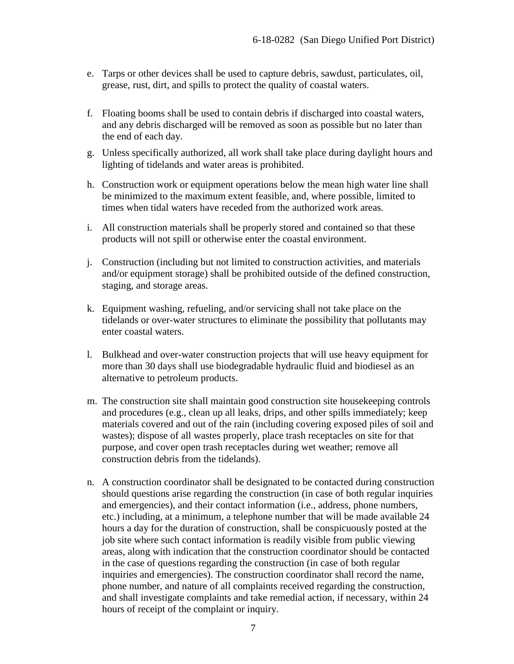- e. Tarps or other devices shall be used to capture debris, sawdust, particulates, oil, grease, rust, dirt, and spills to protect the quality of coastal waters.
- f. Floating booms shall be used to contain debris if discharged into coastal waters, and any debris discharged will be removed as soon as possible but no later than the end of each day.
- g. Unless specifically authorized, all work shall take place during daylight hours and lighting of tidelands and water areas is prohibited.
- h. Construction work or equipment operations below the mean high water line shall be minimized to the maximum extent feasible, and, where possible, limited to times when tidal waters have receded from the authorized work areas.
- i. All construction materials shall be properly stored and contained so that these products will not spill or otherwise enter the coastal environment.
- j. Construction (including but not limited to construction activities, and materials and/or equipment storage) shall be prohibited outside of the defined construction, staging, and storage areas.
- k. Equipment washing, refueling, and/or servicing shall not take place on the tidelands or over-water structures to eliminate the possibility that pollutants may enter coastal waters.
- l. Bulkhead and over-water construction projects that will use heavy equipment for more than 30 days shall use biodegradable hydraulic fluid and biodiesel as an alternative to petroleum products.
- m. The construction site shall maintain good construction site housekeeping controls and procedures (e.g., clean up all leaks, drips, and other spills immediately; keep materials covered and out of the rain (including covering exposed piles of soil and wastes); dispose of all wastes properly, place trash receptacles on site for that purpose, and cover open trash receptacles during wet weather; remove all construction debris from the tidelands).
- n. A construction coordinator shall be designated to be contacted during construction should questions arise regarding the construction (in case of both regular inquiries and emergencies), and their contact information (i.e., address, phone numbers, etc.) including, at a minimum, a telephone number that will be made available 24 hours a day for the duration of construction, shall be conspicuously posted at the job site where such contact information is readily visible from public viewing areas, along with indication that the construction coordinator should be contacted in the case of questions regarding the construction (in case of both regular inquiries and emergencies). The construction coordinator shall record the name, phone number, and nature of all complaints received regarding the construction, and shall investigate complaints and take remedial action, if necessary, within 24 hours of receipt of the complaint or inquiry.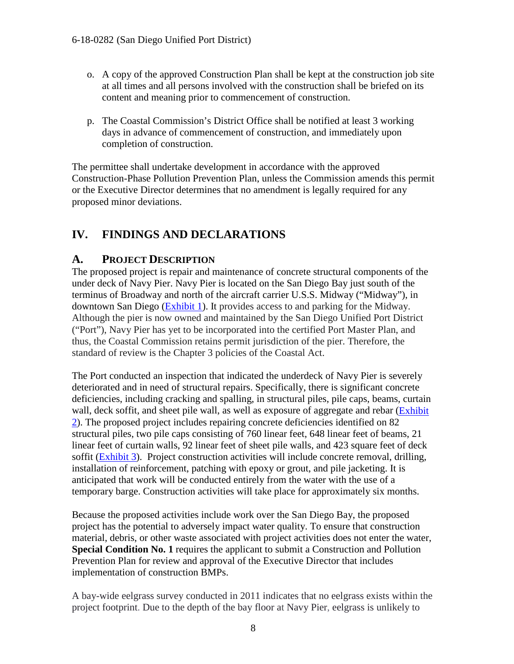- o. A copy of the approved Construction Plan shall be kept at the construction job site at all times and all persons involved with the construction shall be briefed on its content and meaning prior to commencement of construction.
- p. The Coastal Commission's District Office shall be notified at least 3 working days in advance of commencement of construction, and immediately upon completion of construction.

The permittee shall undertake development in accordance with the approved Construction-Phase Pollution Prevention Plan, unless the Commission amends this permit or the Executive Director determines that no amendment is legally required for any proposed minor deviations.

## <span id="page-7-0"></span>**IV. FINDINGS AND DECLARATIONS**

### <span id="page-7-1"></span>**A. PROJECT DESCRIPTION**

The proposed project is repair and maintenance of concrete structural components of the under deck of Navy Pier. Navy Pier is located on the San Diego Bay just south of the terminus of Broadway and north of the aircraft carrier U.S.S. Midway ("Midway"), in downtown San Diego [\(Exhibit 1\)](https://documents.coastal.ca.gov/reports/2018/6/Th5c/Th5c-6-2018-exhibits.pdf). It provides access to and parking for the Midway. Although the pier is now owned and maintained by the San Diego Unified Port District ("Port"), Navy Pier has yet to be incorporated into the certified Port Master Plan, and thus, the Coastal Commission retains permit jurisdiction of the pier. Therefore, the standard of review is the Chapter 3 policies of the Coastal Act.

The Port conducted an inspection that indicated the underdeck of Navy Pier is severely deteriorated and in need of structural repairs. Specifically, there is significant concrete deficiencies, including cracking and spalling, in structural piles, pile caps, beams, curtain wall, deck soffit, and sheet pile wall, as well as exposure of aggregate and rebar (Exhibit [2\)](https://documents.coastal.ca.gov/reports/2018/6/Th5c/Th5c-6-2018-exhibits.pdf). The proposed project includes repairing concrete deficiencies identified on 82 structural piles, two pile caps consisting of 760 linear feet, 648 linear feet of beams, 21 linear feet of curtain walls, 92 linear feet of sheet pile walls, and 423 square feet of deck soffit [\(Exhibit 3\)](https://documents.coastal.ca.gov/reports/2018/6/Th5c/Th5c-6-2018-exhibits.pdf). Project construction activities will include concrete removal, drilling, installation of reinforcement, patching with epoxy or grout, and pile jacketing. It is anticipated that work will be conducted entirely from the water with the use of a temporary barge. Construction activities will take place for approximately six months.

Because the proposed activities include work over the San Diego Bay, the proposed project has the potential to adversely impact water quality. To ensure that construction material, debris, or other waste associated with project activities does not enter the water, **Special Condition No. 1** requires the applicant to submit a Construction and Pollution Prevention Plan for review and approval of the Executive Director that includes implementation of construction BMPs.

A bay-wide eelgrass survey conducted in 2011 indicates that no eelgrass exists within the project footprint. Due to the depth of the bay floor at Navy Pier, eelgrass is unlikely to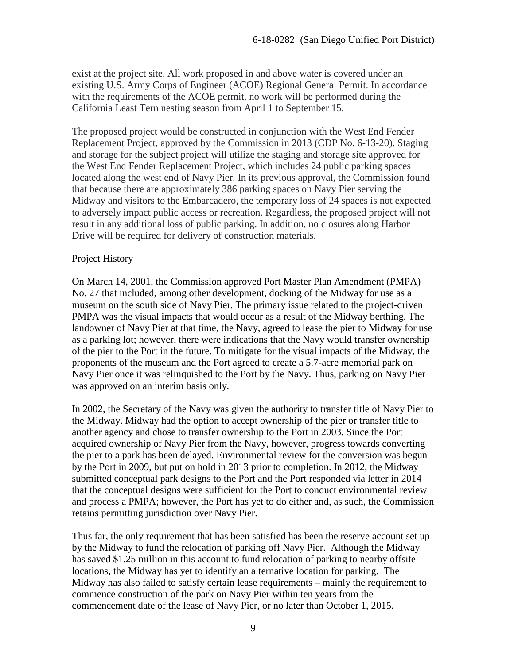exist at the project site. All work proposed in and above water is covered under an existing U.S. Army Corps of Engineer (ACOE) Regional General Permit. In accordance with the requirements of the ACOE permit, no work will be performed during the California Least Tern nesting season from April 1 to September 15.

The proposed project would be constructed in conjunction with the West End Fender Replacement Project, approved by the Commission in 2013 (CDP No. 6-13-20). Staging and storage for the subject project will utilize the staging and storage site approved for the West End Fender Replacement Project, which includes 24 public parking spaces located along the west end of Navy Pier. In its previous approval, the Commission found that because there are approximately 386 parking spaces on Navy Pier serving the Midway and visitors to the Embarcadero, the temporary loss of 24 spaces is not expected to adversely impact public access or recreation. Regardless, the proposed project will not result in any additional loss of public parking. In addition, no closures along Harbor Drive will be required for delivery of construction materials.

#### Project History

On March 14, 2001, the Commission approved Port Master Plan Amendment (PMPA) No. 27 that included, among other development, docking of the Midway for use as a museum on the south side of Navy Pier. The primary issue related to the project-driven PMPA was the visual impacts that would occur as a result of the Midway berthing. The landowner of Navy Pier at that time, the Navy, agreed to lease the pier to Midway for use as a parking lot; however, there were indications that the Navy would transfer ownership of the pier to the Port in the future. To mitigate for the visual impacts of the Midway, the proponents of the museum and the Port agreed to create a 5.7-acre memorial park on Navy Pier once it was relinquished to the Port by the Navy. Thus, parking on Navy Pier was approved on an interim basis only.

In 2002, the Secretary of the Navy was given the authority to transfer title of Navy Pier to the Midway. Midway had the option to accept ownership of the pier or transfer title to another agency and chose to transfer ownership to the Port in 2003. Since the Port acquired ownership of Navy Pier from the Navy, however, progress towards converting the pier to a park has been delayed. Environmental review for the conversion was begun by the Port in 2009, but put on hold in 2013 prior to completion. In 2012, the Midway submitted conceptual park designs to the Port and the Port responded via letter in 2014 that the conceptual designs were sufficient for the Port to conduct environmental review and process a PMPA; however, the Port has yet to do either and, as such, the Commission retains permitting jurisdiction over Navy Pier.

Thus far, the only requirement that has been satisfied has been the reserve account set up by the Midway to fund the relocation of parking off Navy Pier. Although the Midway has saved \$1.25 million in this account to fund relocation of parking to nearby offsite locations, the Midway has yet to identify an alternative location for parking. The Midway has also failed to satisfy certain lease requirements – mainly the requirement to commence construction of the park on Navy Pier within ten years from the commencement date of the lease of Navy Pier, or no later than October 1, 2015.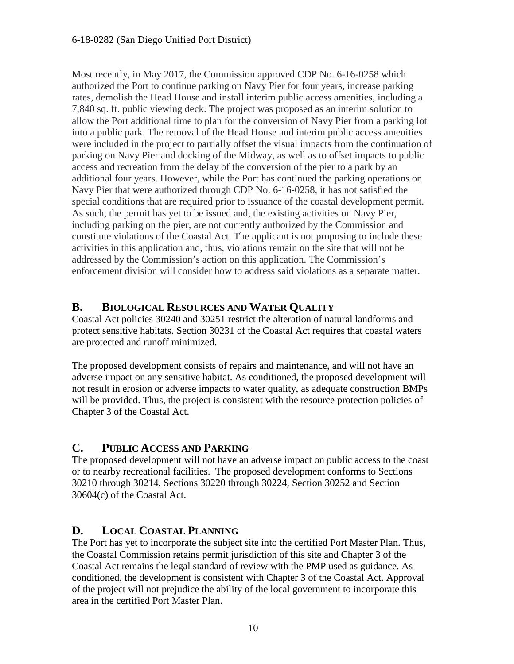Most recently, in May 2017, the Commission approved CDP No. 6-16-0258 which authorized the Port to continue parking on Navy Pier for four years, increase parking rates, demolish the Head House and install interim public access amenities, including a 7,840 sq. ft. public viewing deck. The project was proposed as an interim solution to allow the Port additional time to plan for the conversion of Navy Pier from a parking lot into a public park. The removal of the Head House and interim public access amenities were included in the project to partially offset the visual impacts from the continuation of parking on Navy Pier and docking of the Midway, as well as to offset impacts to public access and recreation from the delay of the conversion of the pier to a park by an additional four years. However, while the Port has continued the parking operations on Navy Pier that were authorized through CDP No. 6-16-0258, it has not satisfied the special conditions that are required prior to issuance of the coastal development permit. As such, the permit has yet to be issued and, the existing activities on Navy Pier, including parking on the pier, are not currently authorized by the Commission and constitute violations of the Coastal Act. The applicant is not proposing to include these activities in this application and, thus, violations remain on the site that will not be addressed by the Commission's action on this application. The Commission's enforcement division will consider how to address said violations as a separate matter.

#### <span id="page-9-0"></span>**B. BIOLOGICAL RESOURCES AND WATER QUALITY**

Coastal Act policies 30240 and 30251 restrict the alteration of natural landforms and protect sensitive habitats. Section 30231 of the Coastal Act requires that coastal waters are protected and runoff minimized.

The proposed development consists of repairs and maintenance, and will not have an adverse impact on any sensitive habitat. As conditioned, the proposed development will not result in erosion or adverse impacts to water quality, as adequate construction BMPs will be provided. Thus, the project is consistent with the resource protection policies of Chapter 3 of the Coastal Act.

#### <span id="page-9-1"></span>**C. PUBLIC ACCESS AND PARKING**

The proposed development will not have an adverse impact on public access to the coast or to nearby recreational facilities. The proposed development conforms to Sections 30210 through 30214, Sections 30220 through 30224, Section 30252 and Section 30604(c) of the Coastal Act.

## <span id="page-9-2"></span>**D. LOCAL COASTAL PLANNING**

The Port has yet to incorporate the subject site into the certified Port Master Plan. Thus, the Coastal Commission retains permit jurisdiction of this site and Chapter 3 of the Coastal Act remains the legal standard of review with the PMP used as guidance. As conditioned, the development is consistent with Chapter 3 of the Coastal Act. Approval of the project will not prejudice the ability of the local government to incorporate this area in the certified Port Master Plan.